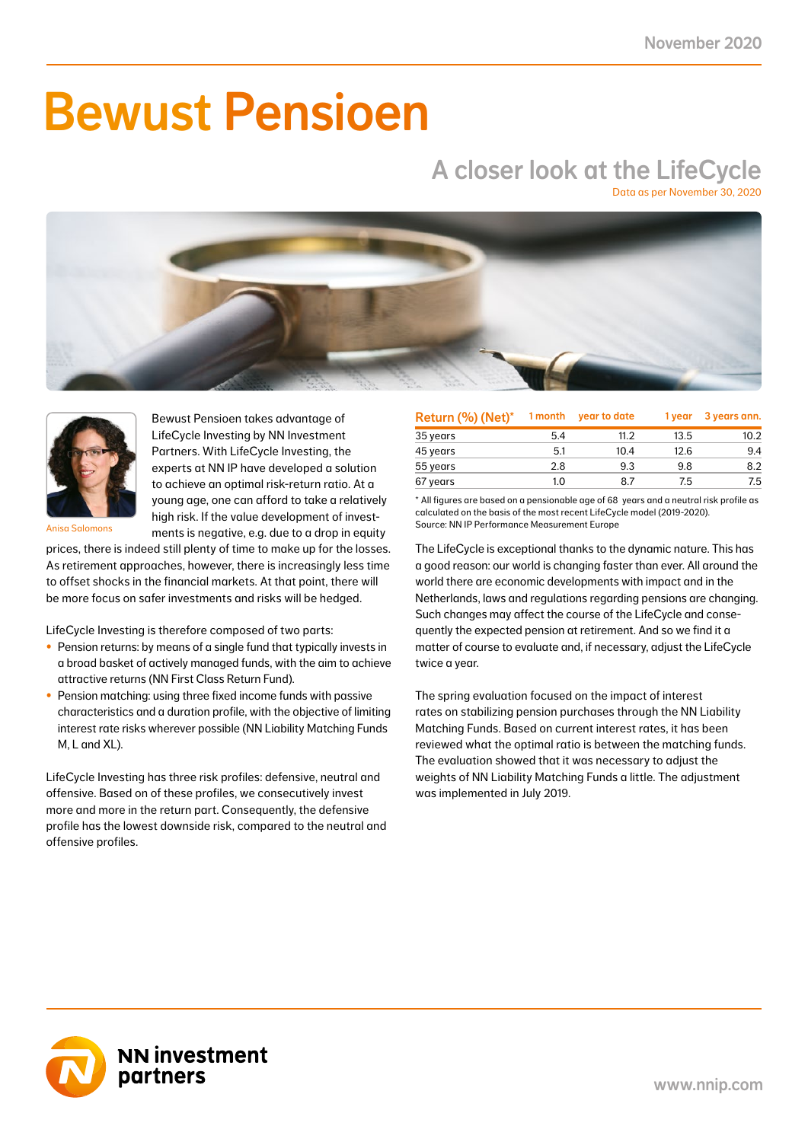# Bewust Pensioen

## A closer look at the LifeCycle

Data as per November 30, 2020





Bewust Pensioen takes advantage of LifeCycle Investing by NN Investment Partners. With LifeCycle Investing, the experts at NN IP have developed a solution to achieve an optimal risk-return ratio. At a young age, one can afford to take a relatively high risk. If the value development of investments is negative, e.g. due to a drop in equity

Anisa Salomons

prices, there is indeed still plenty of time to make up for the losses. As retirement approaches, however, there is increasingly less time to offset shocks in the financial markets. At that point, there will be more focus on safer investments and risks will be hedged.

LifeCycle Investing is therefore composed of two parts:

- Pension returns: by means of a single fund that typically invests in a broad basket of actively managed funds, with the aim to achieve attractive returns (NN First Class Return Fund).
- Pension matching: using three fixed income funds with passive characteristics and a duration profile, with the objective of limiting interest rate risks wherever possible (NN Liability Matching Funds M, L and XL).

LifeCycle Investing has three risk profiles: defensive, neutral and offensive. Based on of these profiles, we consecutively invest more and more in the return part. Consequently, the defensive profile has the lowest downside risk, compared to the neutral and offensive profiles.

| Return (%) (Net)* | 1 month | year to date | 1 year | 3 years ann. |
|-------------------|---------|--------------|--------|--------------|
| 35 years          | 5.4     | 11.2         | 13.5   | 10.2         |
| 45 years          | 5.1     | 10.4         | 12.6   | 9.4          |
| 55 years          | 2.8     | 9.3          | 9.8    | 8.2          |
| 67 years          | 1.0     | 87           | 7.5    | 7.5          |

\* All figures are based on a pensionable age of 68 years and a neutral risk profile as calculated on the basis of the most recent LifeCycle model (2019-2020). Source: NN IP Performance Measurement Europe

The LifeCycle is exceptional thanks to the dynamic nature. This has a good reason: our world is changing faster than ever. All around the world there are economic developments with impact and in the Netherlands, laws and regulations regarding pensions are changing. Such changes may affect the course of the LifeCycle and consequently the expected pension at retirement. And so we find it a matter of course to evaluate and, if necessary, adjust the LifeCycle twice a year.

The spring evaluation focused on the impact of interest rates on stabilizing pension purchases through the NN Liability Matching Funds. Based on current interest rates, it has been reviewed what the optimal ratio is between the matching funds. The evaluation showed that it was necessary to adjust the weights of NN Liability Matching Funds a little. The adjustment was implemented in July 2019.

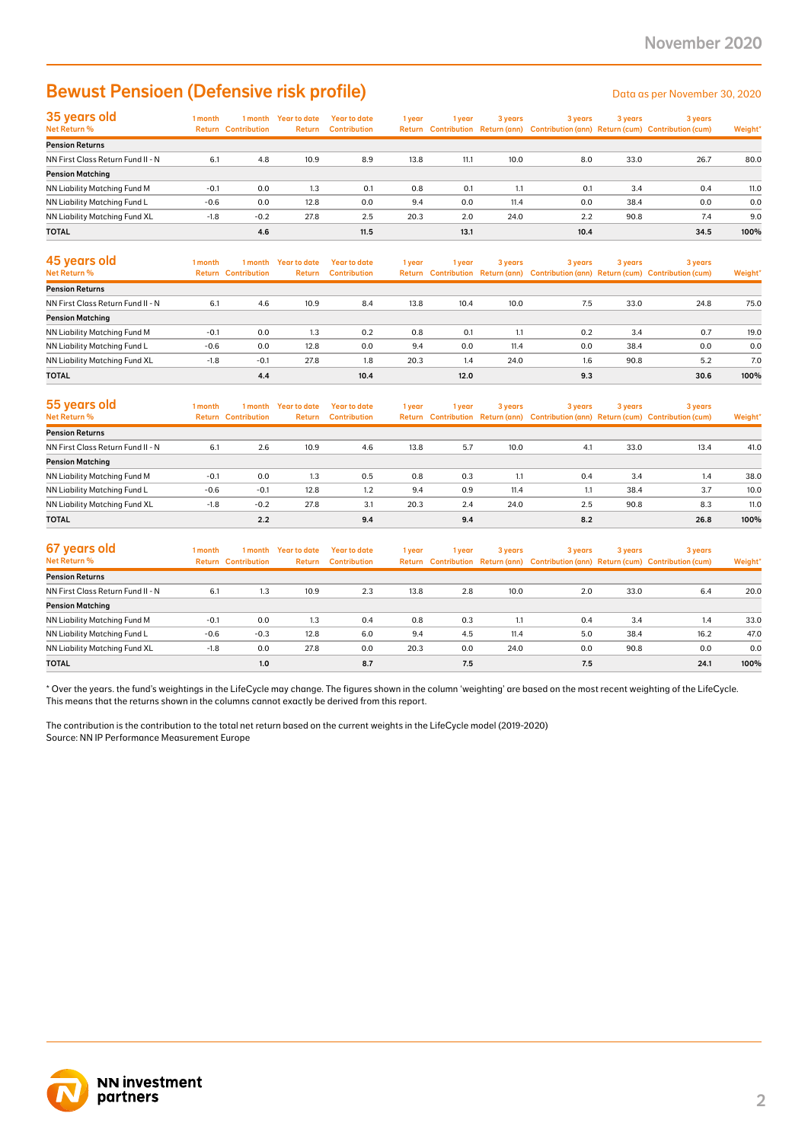### Bewust Pensioen (Defensive risk profile) Data as per November 30, 2020

| 35 years old                         | 1 month |                            | I month Year to date | Year to date        | 1 year | i year | 3 years | 3 years | 3 years | 3 years                                                                             |         |
|--------------------------------------|---------|----------------------------|----------------------|---------------------|--------|--------|---------|---------|---------|-------------------------------------------------------------------------------------|---------|
| Net Return %                         |         | <b>Return Contribution</b> | <b>Return</b>        | <b>Contribution</b> |        |        |         |         |         | Return Contribution Return (ann) Contribution (ann) Return (cum) Contribution (cum) | Weight* |
| <b>Pension Returns</b>               |         |                            |                      |                     |        |        |         |         |         |                                                                                     |         |
| NN First Class Return Fund II - N    | 6.1     | 4.8                        | 10.9                 | 8.9                 | 13.8   | 11.1   | 10.0    | 8.0     | 33.0    | 26.7                                                                                | 80.0    |
| <b>Pension Matching</b>              |         |                            |                      |                     |        |        |         |         |         |                                                                                     |         |
| NN Liability Matching Fund M         | $-0.1$  | 0.0                        | 1.3                  | 0.1                 | 0.8    | 0.1    | 1.1     | 0.1     | 3.4     | 0.4                                                                                 | 11.0    |
| NN Liability Matching Fund L         | $-0.6$  | 0.0                        | 12.8                 | 0.0                 | 9.4    | 0.0    | 11.4    | 0.0     | 38.4    | 0.0                                                                                 | 0.0     |
| <b>NN Liability Matching Fund XL</b> | $-1.8$  | $-0.2$                     | 27.8                 | 2.5                 | 20.3   | 2.0    | 24.0    | 2.2     | 90.8    | 7.4                                                                                 | 9.0     |
| <b>TOTAL</b>                         |         | 4.6                        |                      | 11.5                |        | 13.1   |         | 10.4    |         | 34.5                                                                                | 100%    |

| 45 years old<br>Net Return %      | 1 month | 1 month<br><b>Return Contribution</b> | Year to date<br><b>Return</b> | Year to date<br><b>Contribution</b> | 1 year | 1 vear | 3 years | 3 years | 3 years | 3 years<br>Return Contribution Return (ann) Contribution (ann) Return (cum) Contribution (cum) | Weight* |
|-----------------------------------|---------|---------------------------------------|-------------------------------|-------------------------------------|--------|--------|---------|---------|---------|------------------------------------------------------------------------------------------------|---------|
| <b>Pension Returns</b>            |         |                                       |                               |                                     |        |        |         |         |         |                                                                                                |         |
| NN First Class Return Fund II - N | 6.1     | 4.6                                   | 10.9                          | 8.4                                 | 13.8   | 10.4   | 10.0    | 7.5     | 33.0    | 24.8                                                                                           | 75.0    |
| <b>Pension Matching</b>           |         |                                       |                               |                                     |        |        |         |         |         |                                                                                                |         |
| NN Liability Matching Fund M      | $-0.1$  | 0.0                                   | 1.3                           | 0.2                                 | 0.8    | 0.1    | 1.1     | 0.2     | 3.4     | 0.7                                                                                            | 19.0    |
| NN Liability Matching Fund L      | $-0.6$  | 0.0                                   | 12.8                          | 0.0                                 | 9.4    | 0.0    | 11.4    | 0.0     | 38.4    | 0.0                                                                                            | 0.0     |
| NN Liability Matching Fund XL     | $-1.8$  | $-0.1$                                | 27.8                          | 1.8                                 | 20.3   | 1.4    | 24.0    | 1.6     | 90.8    | 5.2                                                                                            | 7.0     |
| <b>TOTAL</b>                      |         | 4.4                                   |                               | 10.4                                |        | 12.0   |         | 9.3     |         | 30.6                                                                                           | 100%    |

| 55 years old<br>Net Return %      | l month<br>Return | 1 month<br><b>Contribution</b> | Year to date<br><b>Return</b> | Year to date<br><b>Contribution</b> | 1 year | 1 vear | 3 years | 3 years | 3 years | 3 years<br>Return Contribution Return (ann) Contribution (ann) Return (cum) Contribution (cum) | Weight* |
|-----------------------------------|-------------------|--------------------------------|-------------------------------|-------------------------------------|--------|--------|---------|---------|---------|------------------------------------------------------------------------------------------------|---------|
| <b>Pension Returns</b>            |                   |                                |                               |                                     |        |        |         |         |         |                                                                                                |         |
| NN First Class Return Fund II - N | 6.1               | 2.6                            | 10.9                          | 4.6                                 | 13.8   | 5.7    | 10.0    | 4.1     | 33.0    | 13.4                                                                                           | 41.0    |
| <b>Pension Matching</b>           |                   |                                |                               |                                     |        |        |         |         |         |                                                                                                |         |
| NN Liability Matching Fund M      | $-0.1$            | 0.0                            | 1.3                           | 0.5                                 | 0.8    | 0.3    | 1.1     | 0.4     | 3.4     | 1.4                                                                                            | 38.0    |
| NN Liability Matching Fund L      | $-0.6$            | $-0.1$                         | 12.8                          | 1.2                                 | 9.4    | 0.9    | 11.4    | 1.1     | 38.4    | 3.7                                                                                            | 10.0    |
| NN Liability Matching Fund XL     | $-1.8$            | $-0.2$                         | 27.8                          | 3.1                                 | 20.3   | 2.4    | 24.0    | 2.5     | 90.8    | 8.3                                                                                            | 11.0    |
| <b>TOTAL</b>                      |                   | 2.2                            |                               | 9.4                                 |        | 9.4    |         | 8.2     |         | 26.8                                                                                           | 100%    |

| 67 years old<br>Net Return %      | I month | 1 month<br><b>Return Contribution</b> | Year to date<br>Return | Year to date<br>Contribution | 1 year | 1 year | 3 years | 3 years | 3 years | 3 years<br>Return Contribution Return (ann) Contribution (ann) Return (cum) Contribution (cum) | Weight* |
|-----------------------------------|---------|---------------------------------------|------------------------|------------------------------|--------|--------|---------|---------|---------|------------------------------------------------------------------------------------------------|---------|
| <b>Pension Returns</b>            |         |                                       |                        |                              |        |        |         |         |         |                                                                                                |         |
| NN First Class Return Fund II - N | 6.1     | 1.3                                   | 10.9                   | 2.3                          | 13.8   | 2.8    | 10.0    | 2.0     | 33.0    | 6.4                                                                                            | 20.0    |
| <b>Pension Matching</b>           |         |                                       |                        |                              |        |        |         |         |         |                                                                                                |         |
| NN Liability Matching Fund M      | $-0.1$  | 0.0                                   | 1.3                    | 0.4                          | 0.8    | 0.3    | 1.1     | 0.4     | 3.4     | 1.4                                                                                            | 33.0    |
| NN Liability Matching Fund L      | $-0.6$  | $-0.3$                                | 12.8                   | 6.0                          | 9.4    | 4.5    | 11.4    | 5.0     | 38.4    | 16.2                                                                                           | 47.0    |
| NN Liability Matching Fund XL     | $-1.8$  | 0.0                                   | 27.8                   | 0.0                          | 20.3   | 0.0    | 24.0    | 0.0     | 90.8    | 0.0                                                                                            | 0.0     |
| <b>TOTAL</b>                      |         | 1.0                                   |                        | 8.7                          |        | 7.5    |         | 7.5     |         | 24.1                                                                                           | 100%    |

\* Over the years. the fund's weightings in the LifeCycle may change. The figures shown in the column 'weighting' are based on the most recent weighting of the LifeCycle. This means that the returns shown in the columns cannot exactly be derived from this report.

The contribution is the contribution to the total net return based on the current weights in the LifeCycle model (2019-2020) Source: NN IP Performance Measurement Europe

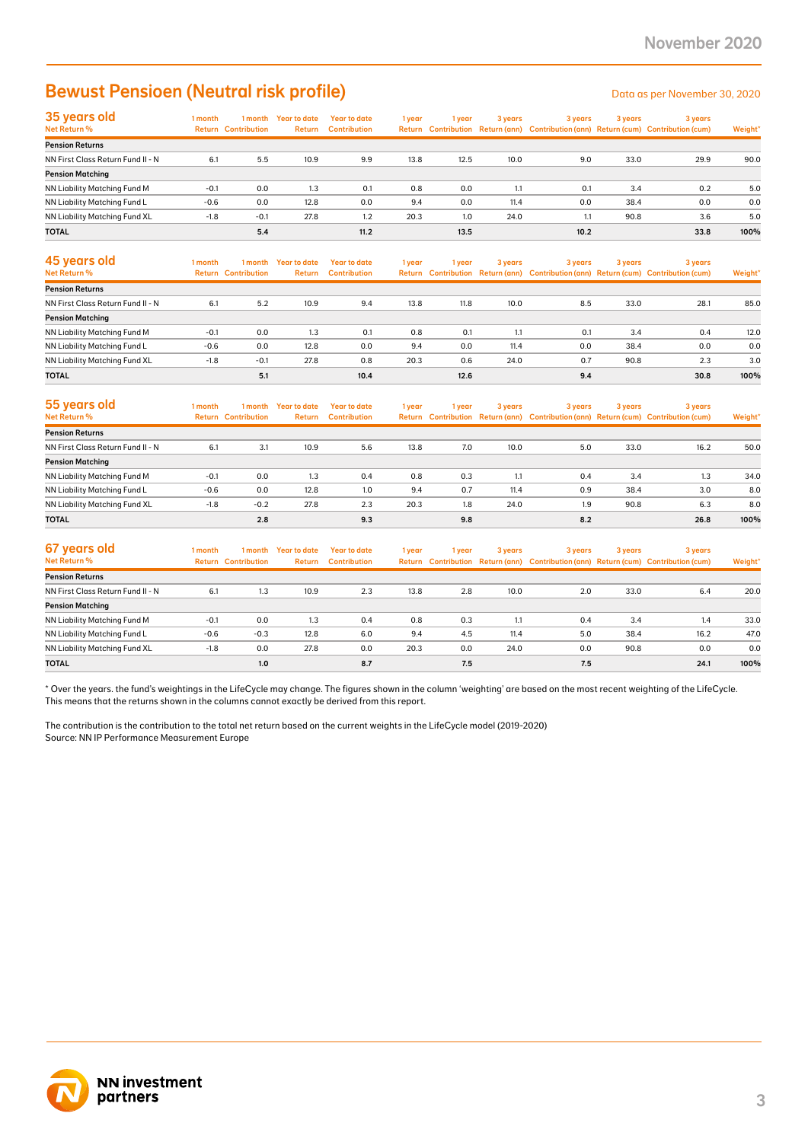### Bewust Pensioen (Neutral risk profile) Data as per November 30, 2020

| 35 years old                      | 1 month | 1 month                    | Year to date  | <b>Year to date</b> | 1 year | l vear | 3 years | 3 years | 3 years | 3 years                                                                             |         |
|-----------------------------------|---------|----------------------------|---------------|---------------------|--------|--------|---------|---------|---------|-------------------------------------------------------------------------------------|---------|
| Net Return %                      |         | <b>Return Contribution</b> | <b>Return</b> | <b>Contribution</b> |        |        |         |         |         | Return Contribution Return (ann) Contribution (ann) Return (cum) Contribution (cum) | Weight* |
| <b>Pension Returns</b>            |         |                            |               |                     |        |        |         |         |         |                                                                                     |         |
| NN First Class Return Fund II - N | 6.1     | 5.5                        | 10.9          | 9.9                 | 13.8   | 12.5   | 10.0    | 9.0     | 33.0    | 29.9                                                                                | 90.0    |
| <b>Pension Matching</b>           |         |                            |               |                     |        |        |         |         |         |                                                                                     |         |
| NN Liability Matching Fund M      | $-0.1$  | 0.0                        | 1.3           | 0.1                 | 0.8    | 0.0    | 1.1     | 0.1     | 3.4     | 0.2                                                                                 | 5.0     |
| NN Liability Matching Fund L      | $-0.6$  | 0.0                        | 12.8          | 0.0                 | 9.4    | 0.0    | 11.4    | 0.0     | 38.4    | 0.0                                                                                 | 0.0     |
| NN Liability Matching Fund XL     | $-1.8$  | $-0.1$                     | 27.8          | 1.2                 | 20.3   | 1.0    | 24.0    | 1.1     | 90.8    | 3.6                                                                                 | 5.0     |
| <b>TOTAL</b>                      |         | 5.4                        |               | 11.2                |        | 13.5   |         | 10.2    |         | 33.8                                                                                | 100%    |

| 45 years old<br>Net Return %      | 1 month | 1 month<br><b>Return Contribution</b> | Year to date<br>Return | Year to date<br><b>Contribution</b> | 1 year | 1 vear | 3 years | 3 years | 3 years | 3 years<br>Return Contribution Return (ann) Contribution (ann) Return (cum) Contribution (cum) | Weight* |
|-----------------------------------|---------|---------------------------------------|------------------------|-------------------------------------|--------|--------|---------|---------|---------|------------------------------------------------------------------------------------------------|---------|
| <b>Pension Returns</b>            |         |                                       |                        |                                     |        |        |         |         |         |                                                                                                |         |
| NN First Class Return Fund II - N | 6.1     | 5.2                                   | 10.9                   | 9.4                                 | 13.8   | 11.8   | 10.0    | 8.5     | 33.0    | 28.1                                                                                           | 85.0    |
| <b>Pension Matching</b>           |         |                                       |                        |                                     |        |        |         |         |         |                                                                                                |         |
| NN Liability Matching Fund M      | $-0.1$  | 0.0                                   | 1.3                    | 0.1                                 | 0.8    | 0.1    | 1.1     | 0.1     | 3.4     | 0.4                                                                                            | 12.0    |
| NN Liability Matching Fund L      | $-0.6$  | 0.0                                   | 12.8                   | 0.0                                 | 9.4    | 0.0    | 11.4    | 0.0     | 38.4    | 0.0                                                                                            | 0.0     |
| NN Liability Matching Fund XL     | $-1.8$  | $-0.1$                                | 27.8                   | 0.8                                 | 20.3   | 0.6    | 24.0    | 0.7     | 90.8    | 2.3                                                                                            | 3.0     |
| <b>TOTAL</b>                      |         | 5.1                                   |                        | 10.4                                |        | 12.6   |         | 9.4     |         | 30.8                                                                                           | 100%    |

| 55 years old<br>Net Return %      | 1 month | 1 month<br><b>Return Contribution</b> | Year to date<br><b>Return</b> | Year to date<br><b>Contribution</b> | 1 year | 1 year | 3 years | 3 years | 3 years | 3 years<br>Return Contribution Return (ann) Contribution (ann) Return (cum) Contribution (cum) | Weight* |
|-----------------------------------|---------|---------------------------------------|-------------------------------|-------------------------------------|--------|--------|---------|---------|---------|------------------------------------------------------------------------------------------------|---------|
| <b>Pension Returns</b>            |         |                                       |                               |                                     |        |        |         |         |         |                                                                                                |         |
| NN First Class Return Fund II - N | 6.1     | 3.1                                   | 10.9                          | 5.6                                 | 13.8   | 7.0    | 10.0    | 5.0     | 33.0    | 16.2                                                                                           | 50.0    |
| <b>Pension Matching</b>           |         |                                       |                               |                                     |        |        |         |         |         |                                                                                                |         |
| NN Liability Matching Fund M      | $-0.1$  | 0.0                                   | 1.3                           | 0.4                                 | 0.8    | 0.3    | 1.1     | 0.4     | 3.4     | 1.3                                                                                            | 34.0    |
| NN Liability Matching Fund L      | $-0.6$  | 0.0                                   | 12.8                          | 1.0                                 | 9.4    | 0.7    | 11.4    | 0.9     | 38.4    | 3.0                                                                                            | 8.0     |
| NN Liability Matching Fund XL     | $-1.8$  | $-0.2$                                | 27.8                          | 2.3                                 | 20.3   | 1.8    | 24.0    | 1.9     | 90.8    | 6.3                                                                                            | 8.0     |
| <b>TOTAL</b>                      |         | 2.8                                   |                               | 9.3                                 |        | 9.8    |         | 8.2     |         | 26.8                                                                                           | 100%    |

| 67 years old<br>Net Return %      | 1 month | 1 month<br><b>Return Contribution</b> | Year to date<br>Return | Year to date<br><b>Contribution</b> | 1 year | 1 year | 3 years | 3 years | 3 years | 3 years<br>Return Contribution Return (ann) Contribution (ann) Return (cum) Contribution (cum) | Weight* |
|-----------------------------------|---------|---------------------------------------|------------------------|-------------------------------------|--------|--------|---------|---------|---------|------------------------------------------------------------------------------------------------|---------|
| <b>Pension Returns</b>            |         |                                       |                        |                                     |        |        |         |         |         |                                                                                                |         |
| NN First Class Return Fund II - N | 6.1     | 1.3                                   | 10.9                   | 2.3                                 | 13.8   | 2.8    | 10.0    | 2.0     | 33.0    | 6.4                                                                                            | 20.0    |
| <b>Pension Matching</b>           |         |                                       |                        |                                     |        |        |         |         |         |                                                                                                |         |
| NN Liability Matching Fund M      | $-0.1$  | 0.0                                   | 1.3                    | 0.4                                 | 0.8    | 0.3    | 1.1     | 0.4     | 3.4     | 1.4                                                                                            | 33.0    |
| NN Liability Matching Fund L      | $-0.6$  | $-0.3$                                | 12.8                   | 6.0                                 | 9.4    | 4.5    | 11.4    | 5.0     | 38.4    | 16.2                                                                                           | 47.0    |
| NN Liability Matching Fund XL     | $-1.8$  | 0.0                                   | 27.8                   | 0.0                                 | 20.3   | 0.0    | 24.0    | 0.0     | 90.8    | 0.0                                                                                            | 0.0     |
| <b>TOTAL</b>                      |         | 1.0                                   |                        | 8.7                                 |        | 7.5    |         | 7.5     |         | 24.1                                                                                           | 100%    |

\* Over the years. the fund's weightings in the LifeCycle may change. The figures shown in the column 'weighting' are based on the most recent weighting of the LifeCycle. This means that the returns shown in the columns cannot exactly be derived from this report.

The contribution is the contribution to the total net return based on the current weights in the LifeCycle model (2019-2020) Source: NN IP Performance Measurement Europe